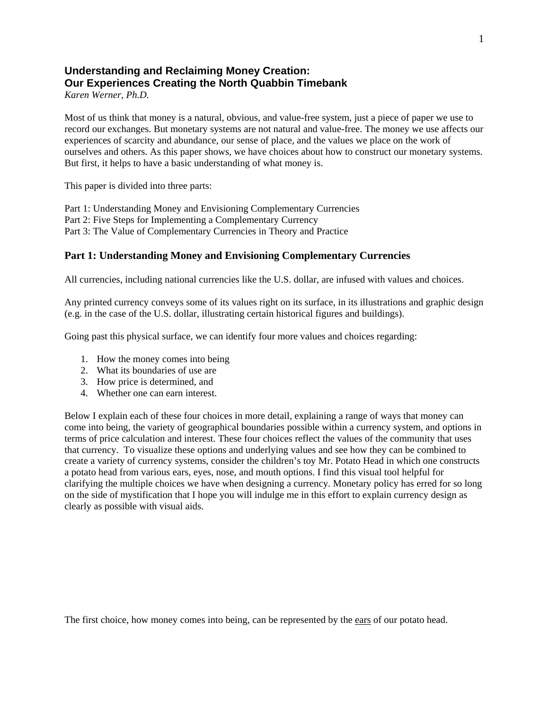# **Understanding and Reclaiming Money Creation: Our Experiences Creating the North Quabbin Timebank**

*Karen Werner, Ph.D.*

Most of us think that money is a natural, obvious, and value-free system, just a piece of paper we use to record our exchanges. But monetary systems are not natural and value-free. The money we use affects our experiences of scarcity and abundance, our sense of place, and the values we place on the work of ourselves and others. As this paper shows, we have choices about how to construct our monetary systems. But first, it helps to have a basic understanding of what money is.

This paper is divided into three parts:

Part 1: Understanding Money and Envisioning Complementary Currencies Part 2: Five Steps for Implementing a Complementary Currency Part 3: The Value of Complementary Currencies in Theory and Practice

## **Part 1: Understanding Money and Envisioning Complementary Currencies**

All currencies, including national currencies like the U.S. dollar, are infused with values and choices.

Any printed currency conveys some of its values right on its surface, in its illustrations and graphic design (e.g. in the case of the U.S. dollar, illustrating certain historical figures and buildings).

Going past this physical surface, we can identify four more values and choices regarding:

- 1. How the money comes into being
- 2. What its boundaries of use are
- 3. How price is determined, and
- 4. Whether one can earn interest.

Below I explain each of these four choices in more detail, explaining a range of ways that money can come into being, the variety of geographical boundaries possible within a currency system, and options in terms of price calculation and interest. These four choices reflect the values of the community that uses that currency. To visualize these options and underlying values and see how they can be combined to create a variety of currency systems, consider the children's toy Mr. Potato Head in which one constructs a potato head from various ears, eyes, nose, and mouth options. I find this visual tool helpful for clarifying the multiple choices we have when designing a currency. Monetary policy has erred for so long on the side of mystification that I hope you will indulge me in this effort to explain currency design as clearly as possible with visual aids.

The first choice, how money comes into being, can be represented by the ears of our potato head.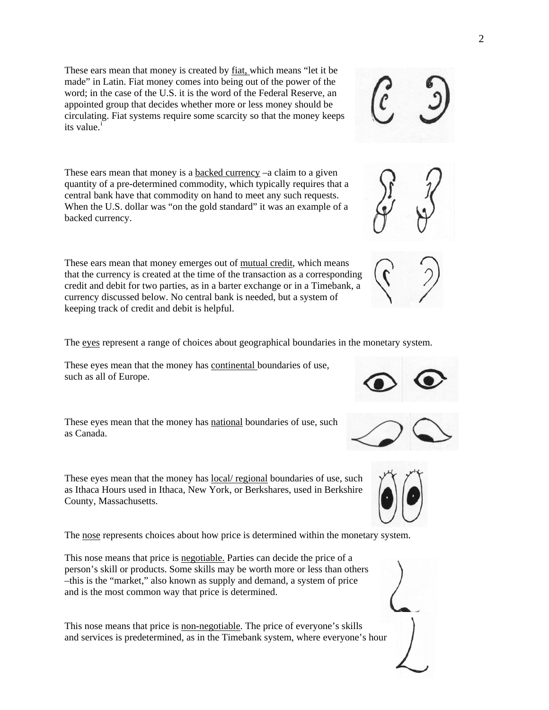These ears mean that money is created by fiat, which means "let it be made" in Latin. Fiat money comes into being out of the power of the word; in the case of the U.S. it is the word of the Federal Reserve, an appointed group that decides whether more or less money should be circulating. Fiat systems require some scarcity so that the money keeps [i](#page-11-0)ts value.<sup>i</sup>

These ears mean that money is a **backed currency** –a claim to a given quantity of a pre-determined commodity, which typically requires that a central bank have that commodity on hand to meet any such requests. When the U.S. dollar was "on the gold standard" it was an example of a backed currency.

These ears mean that money emerges out of mutual credit, which means that the currency is created at the time of the transaction as a corresponding credit and debit for two parties, as in a barter exchange or in a Timebank, a currency discussed below. No central bank is needed, but a system of keeping track of credit and debit is helpful.

The eyes represent a range of choices about geographical boundaries in the monetary system.

These eyes mean that the money has continental boundaries of use, such as all of Europe.

These eyes mean that the money has national boundaries of use, such as Canada.

These eyes mean that the money has local/ regional boundaries of use, such as Ithaca Hours used in Ithaca, New York, or Berkshares, used in Berkshire County, Massachusetts.

The nose represents choices about how price is determined within the monetary system.

This nose means that price is negotiable. Parties can decide the price of a person's skill or products. Some skills may be worth more or less than others –this is the "market," also known as supply and demand, a system of price and is the most common way that price is determined.

This nose means that price is non-negotiable. The price of everyone's skills and services is predetermined, as in the Timebank system, where everyone's hour

## 2









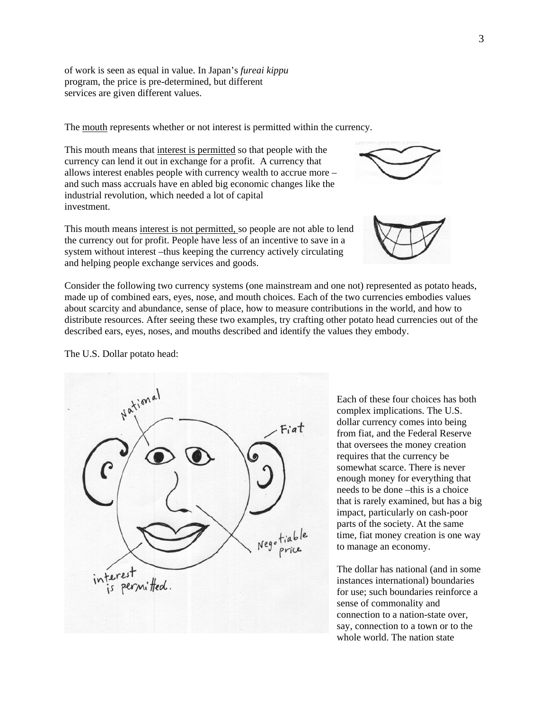of work is seen as equal in value. In Japan's *fureai kippu* program, the price is pre-determined, but different services are given different values.

The mouth represents whether or not interest is permitted within the currency.

This mouth means that interest is permitted so that people with the currency can lend it out in exchange for a profit. A currency that allows interest enables people with currency wealth to accrue more – and such mass accruals have en abled big economic changes like the industrial revolution, which needed a lot of capital investment.



This mouth means interest is not permitted, so people are not able to lend the currency out for profit. People have less of an incentive to save in a system without interest –thus keeping the currency actively circulating and helping people exchange services and goods.

Consider the following two currency systems (one mainstream and one not) represented as potato heads, made up of combined ears, eyes, nose, and mouth choices. Each of the two currencies embodies values about scarcity and abundance, sense of place, how to measure contributions in the world, and how to distribute resources. After seeing these two examples, try crafting other potato head currencies out of the described ears, eyes, noses, and mouths described and identify the values they embody.

The U.S. Dollar potato head:



Each of these four choices has both complex implications. The U.S. dollar currency comes into being from fiat, and the Federal Reserve that oversees the money creation requires that the currency be somewhat scarce. There is never enough money for everything that needs to be done –this is a choice that is rarely examined, but has a big impact, particularly on cash-poor parts of the society. At the same time, fiat money creation is one way to manage an economy.

The dollar has national (and in some instances international) boundaries for use; such boundaries reinforce a sense of commonality and connection to a nation-state over, say, connection to a town or to the whole world. The nation state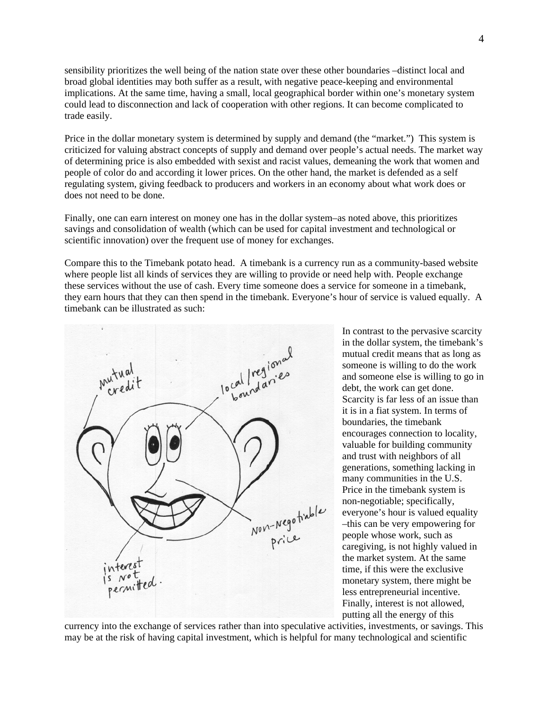sensibility prioritizes the well being of the nation state over these other boundaries –distinct local and broad global identities may both suffer as a result, with negative peace-keeping and environmental implications. At the same time, having a small, local geographical border within one's monetary system could lead to disconnection and lack of cooperation with other regions. It can become complicated to trade easily.

Price in the dollar monetary system is determined by supply and demand (the "market.") This system is criticized for valuing abstract concepts of supply and demand over people's actual needs. The market way of determining price is also embedded with sexist and racist values, demeaning the work that women and people of color do and according it lower prices. On the other hand, the market is defended as a self regulating system, giving feedback to producers and workers in an economy about what work does or does not need to be done.

Finally, one can earn interest on money one has in the dollar system–as noted above, this prioritizes savings and consolidation of wealth (which can be used for capital investment and technological or scientific innovation) over the frequent use of money for exchanges.

Compare this to the Timebank potato head. A timebank is a currency run as a community-based website where people list all kinds of services they are willing to provide or need help with. People exchange these services without the use of cash. Every time someone does a service for someone in a timebank, they earn hours that they can then spend in the timebank. Everyone's hour of service is valued equally. A timebank can be illustrated as such:



In contrast to the pervasive scarcity in the dollar system, the timebank's mutual credit means that as long as someone is willing to do the work and someone else is willing to go in debt, the work can get done. Scarcity is far less of an issue than it is in a fiat system. In terms of boundaries, the timebank encourages connection to locality, valuable for building community and trust with neighbors of all generations, something lacking in many communities in the U.S. Price in the timebank system is non-negotiable; specifically, everyone's hour is valued equality –this can be very empowering for people whose work, such as caregiving, is not highly valued in the market system. At the same time, if this were the exclusive monetary system, there might be less entrepreneurial incentive. Finally, interest is not allowed, putting all the energy of this

currency into the exchange of services rather than into speculative activities, investments, or savings. This may be at the risk of having capital investment, which is helpful for many technological and scientific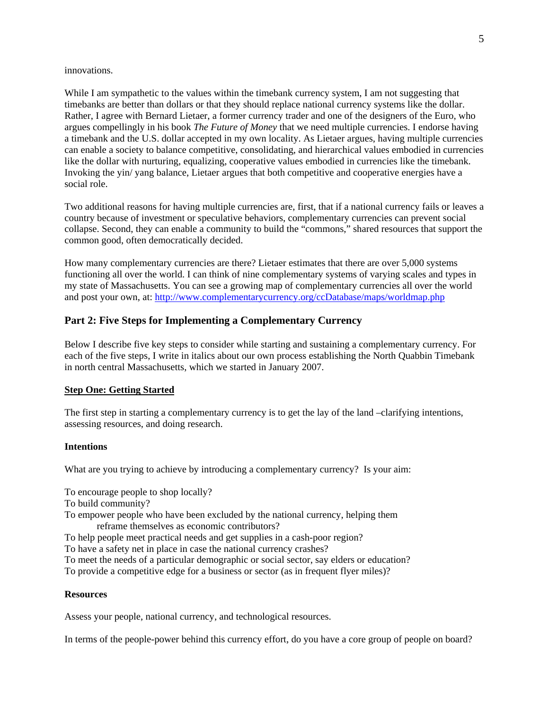#### innovations.

can enable a society to balance competitive, consolidating, and hierarchical values embodied in currencies like the dollar with nurturing, equalizing, cooperative values embodied in currencies like the timebank. Invoking the yin/ yang balance, Lietaer argues that both competitive and cooperative energies have a social role. While I am sympathetic to the values within the timebank currency system, I am not suggesting that timebanks are better than dollars or that they should replace national currency systems like the dollar. Rather, I agree with Bernard Lietaer, a former currency trader and one of the designers of the Euro, who argues compellingly in his book *The Future of Money* that we need multiple currencies. I endorse having a timebank and the U.S. dollar accepted in my own locality. As Lietaer argues, having multiple currencies

Two additional reasons for having multiple currencies are, first, that if a national currency fails or leaves a collapse. Second, they can enable a community to build the "commons," shared resources that support the common good, often democratically decided. country because of investment or speculative behaviors, complementary currencies can prevent social

my state of Massachusetts. You can see a growing map of complementary currencies all over the world and post your own, at: http://www.complementarycurrency.org/ccDatabase/maps/worldmap.php How many complementary currencies are there? Lietaer estimates that there are over 5,000 systems functioning all over the world. I can think of nine complementary systems of varying scales and types in

# Part 2: Five Steps for Implementing a Complementary Currency

each of the five steps, I write in italics about our own process establishing the North Quabbin Timebank in north central Massachusetts, which we started in January 2007. Below I describe five key steps to consider while starting and sustaining a complementary currency. For

#### **<u>Step One: Getting Started</u>**

The first step in starting a complementary currency is to get the lay of the land –clarifying intentions, assessing resources, and doing research.

#### **ntentions I**

What are you trying to achieve by introducing a complementary currency? Is your aim:

To encourage people to shop locally?

To build community?

To empower people who have been excluded by the national currency, helping them reframe themselves as economic contributors?

To help people meet practical needs and get supplies in a cash-poor region?

To have a safety net in place in case the national currency crashes?

To meet the needs of a particular demographic or social sector, say elders or education?

To provide a competitive edge for a business or sector (as in frequent flyer miles)?

#### **Resources**

Assess your people, national currency, and technological resources.

In terms of the people-power behind this currency effort, do you have a core group of people on board?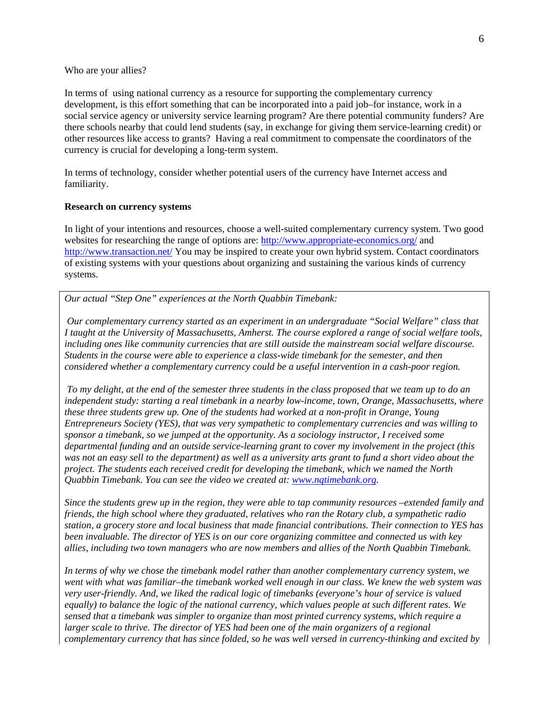#### Who are your allies?

there schools nearby that could lend students (say, in exchange for giving them service-learning credit) or other resources like access to grants? Having a real commitment to compensate the coordinators of the currency is crucial for developing a long-term system. In terms of using national currency as a resource for supporting the complementary currency development, is this effort something that can be incorporated into a paid job–for instance, work in a social service agency or university service learning program? Are there potential community funders? Are

In terms of technology, consider whether potential users of the currency have Internet access and familiarity.

#### **esearch on currency systems R**

In light of your intentions and resources, choose a well-suited complementary currency system. Two good websites for researching the range of options are:<http://www.appropriate-economics.org/> and <http://www.transaction.net/> You may be inspired to create your own hybrid system. Contact coordinators of existing systems with your questions about organizing and sustaining the various kinds of currency systems.

Our actual "Step One" experiences at the North Quabbin Timebank:

 *Our complementary currency started as an experiment in an undergraduate "Social Welfare" class that I taught at the University of Massachusetts, Amherst. The course explored a range of social welfare tools, including ones like community currencies that are still outside the mainstream social welfare discourse. Students in the course were able to experience a class-wide timebank for the semester, and then considered whether a complementary currency could be a useful intervention in a cash-poor region.* 

 *To my delight, at the end of the semester three students in the class proposed that we team up to do an independent study: starting a real timebank in a nearby low-income, town, Orange, Massachusetts, where these three students grew up. One of the students had worked at a non-profit in Orange, Young Entrepreneurs Society (YES), that was very sympathetic to complementary currencies and was willing to sponsor a timebank, so we jumped at the opportunity. As a sociology instructor, I received some departmental funding and an outside service-learning grant to cover my involvement in the project (this was not an easy sell to the department) as well as a university arts grant to fund a short video about the project. The students each received credit for developing the timebank, which we named the North Quabbin Timebank. You can see the video we created at: www.nqtimebank.org.* 

*Since the students grew up in the region, they were able to tap community resources –extended family and friends, the high school where they graduated, relatives who ran the Rotary club, a sympathetic radio station, a grocery store and local business that made financial contributions. Their connection to YES has been invaluable. The director of YES is on our core organizing committee and connected us with key allies, including two town managers who are now members and allies of the North Quabbin Timebank.* 

*In terms of why we chose the timebank model rather than another complementary currency system, we went with what was familiar–the timebank worked well enough in our class. We knew the web system was very user-friendly. And, we liked the radical logic of timebanks (everyone's hour of service is valued equally) to balance the logic of the national currency, which values people at such different rates. We sensed that a timebank was simpler to organize than most printed currency systems, which require a larger scale to thrive. The director of YES had been one of the main organizers of a regional complementary currency that has since folded, so he was well versed in currency-thinking and excited by*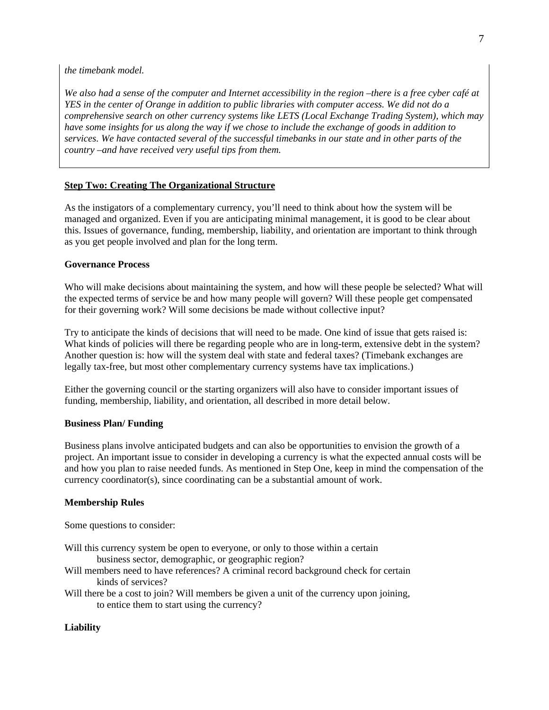*the timebank model.* 

*We also had a sense of the computer and Internet accessibility in the region –there is a free cyber café at YES in the center of Orange in addition to public libraries with computer access. We did not do a comprehensive search on other currency systems like LETS (Local Exchange Trading System), which may have some insights for us along the way if we chose to include the exchange of goods in addition to services. We have contacted several of the successful timebanks in our state and in other parts of the country –and have received very useful tips from them.* 

# **Step Two: Creating The Organizational Structure**

this. Issues of governance, funding, membership, liability, and orientation are important to think through as you get people involved and plan for the long term. As the instigators of a complementary currency, you'll need to think about how the system will be managed and organized. Even if you are anticipating minimal management, it is good to be clear about

#### Governance Process

Who will make decisions about maintaining the system, and how will these people be selected? What will the expected terms of service be and how many people will govern? Will these people get compensated for their governing work? Will some decisions be made without collective input?

What kinds of policies will there be regarding people who are in long-term, extensive debt in the system? Another question is: how will the system deal with state and federal taxes? (Timebank exchanges are legally tax-free, but most other complementary currency systems have tax implications.) Try to anticipate the kinds of decisions that will need to be made. One kind of issue that gets raised is:

funding, membership, liability, and orientation, all described in more detail below. Either the governing council or the starting organizers will also have to consider important issues of

## Business Plan/ Funding

and how you plan to raise needed funds. As mentioned in Step One, keep in mind the compensation of the urrency coordinator(s), since coordinating can be a substantial amount of work. c Business plans involve anticipated budgets and can also be opportunities to envision the growth of a project. An important issue to consider in developing a currency is what the expected annual costs will be

#### **embership Rules M**

Some questions to consider:

- Will this currency system be open to everyone, or only to those within a certain business sector, demographic, or geographic region?
- Will members need to have references? A criminal record background check for certain kinds of services?
- Will there be a cost to join? Will members be given a unit of the currency upon joining, to entice them to start using the currency?

## Liability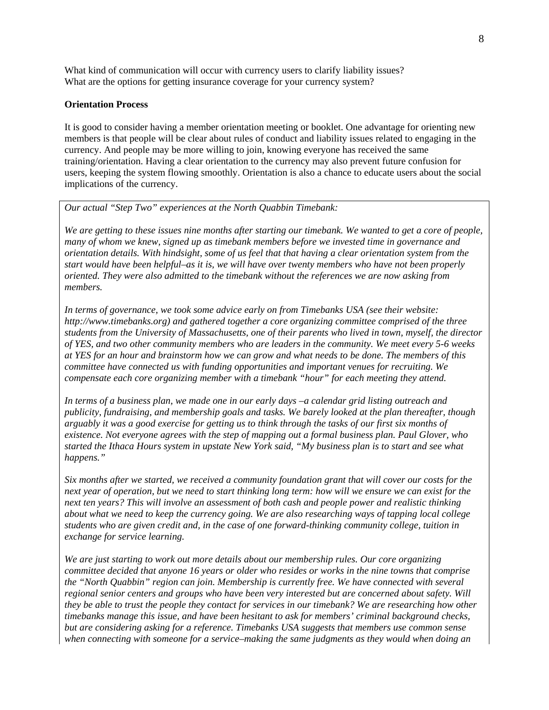What kind of communication will occur with currency users to clarify liability issues? What are the options for getting insurance coverage for your currency system?

#### **Orientation Process**

It is good to consider having a member orientation meeting or booklet. One advantage for orienting new members is that people will be clear about rules of conduct and liability issues related to engaging in the currency. And people may be more willing to join, knowing everyone has received the same training/orientation. Having a clear orientation to the currency may also prevent future confusion for users, keeping the system flowing smoothly. Orientation is also a chance to educate users about the social implications of the currency.

# *Our actual "Step Two" experiences at the North Quabbin Timebank:*

*We are getting to these issues nine months after starting our timebank. We wanted to get a core of people, many of whom we knew, signed up as timebank members before we invested time in governance and orientation details. With hindsight, some of us feel that that having a clear orientation system from the start would have been helpful–as it is, we will have over twenty members who have not been properly oriented. They were also admitted to the timebank without the references we are now asking from members.* 

*In terms of governance, we took some advice early on from Timebanks USA (see their website: http://www.timebanks.org) and gathered together a core organizing committee comprised of the three students from the University of Massachusetts, one of their parents who lived in town, myself, the director of YES, and two other community members who are leaders in the community. We meet every 5-6 weeks at YES for an hour and brainstorm how we can grow and what needs to be done. The members of this committee have connected us with funding opportunities and important venues for recruiting. We compensate each core organizing member with a timebank "hour" for each meeting they attend.* 

*In terms of a business plan, we made one in our early days –a calendar grid listing outreach and publicity, fundraising, and membership goals and tasks. We barely looked at the plan thereafter, though arguably it was a good exercise for getting us to think through the tasks of our first six months of existence. Not everyone agrees with the step of mapping out a formal business plan. Paul Glover, who started the Ithaca Hours system in upstate New York said, "My business plan is to start and see what happens."* 

*Six months after we started, we received a community foundation grant that will cover our costs for the next year of operation, but we need to start thinking long term: how will we ensure we can exist for the next ten years? This will involve an assessment of both cash and people power and realistic thinking about what we need to keep the currency going. We are also researching ways of tapping local college students who are given credit and, in the case of one forward-thinking community college, tuition in exchange for service learning.* 

*We are just starting to work out more details about our membership rules. Our core organizing committee decided that anyone 16 years or older who resides or works in the nine towns that comprise the "North Quabbin" region can join. Membership is currently free. We have connected with several regional senior centers and groups who have been very interested but are concerned about safety. Will they be able to trust the people they contact for services in our timebank? We are researching how other timebanks manage this issue, and have been hesitant to ask for members' criminal background checks, but are considering asking for a reference. Timebanks USA suggests that members use common sense when connecting with someone for a service–making the same judgments as they would when doing an*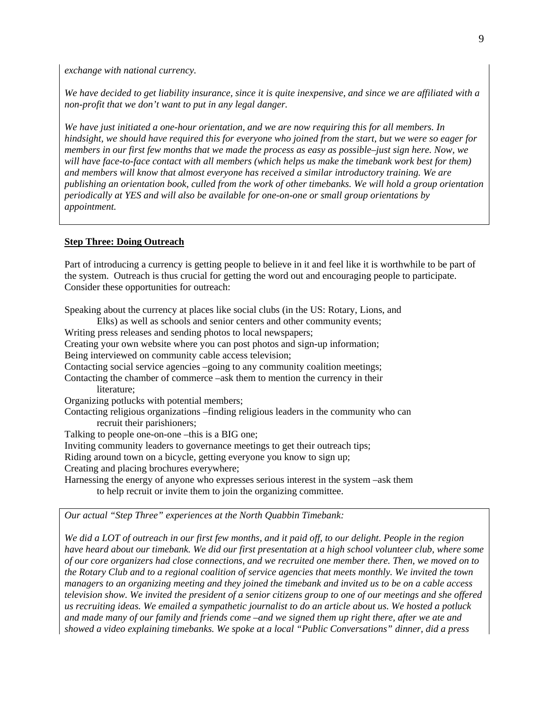*exchange with national currency.*

*We have decided to get liability insurance, since it is quite inexpensive, and since we are affiliated with a non-profit that we don't want to put in any legal danger.* 

*We have just initiated a one-hour orientation, and we are now requiring this for all members. In hindsight, we should have required this for everyone who joined from the start, but we were so eager for members in our first few months that we made the process as easy as possible–just sign here. Now, we will have face-to-face contact with all members (which helps us make the timebank work best for them) and members will know that almost everyone has received a similar introductory training. We are publishing an orientation book, culled from the work of other timebanks. We will hold a group orientation periodically at YES and will also be available for one-on-one or small group orientations by appointment.* 

#### **Step Three: Doing Outreach**

Part of introducing a currency is getting people to believe in it and feel like it is worthwhile to be part of the system. Outreach is thus crucial for getting the word out and encouraging people to participate. Consider these opportunities for outreach:

Speaking about the currency at places like social clubs (in the US: Rotary, Lions, and Elks) as well as schools and senior centers and other community events; Writing press releases and sending photos to local newspapers; Creating your own website where you can post photos and sign-up information; Being interviewed on community cable access television; Contacting social service agencies –going to any community coalition meetings; Contacting the chamber of commerce –ask them to mention the currency in their literature; Organizing potlucks with potential members; Contacting religious organizations –finding religious leaders in the community who can recruit their parishioners; Talking to people one-on-one –this is a BIG one; Inviting community leaders to governance meetings to get their outreach tips; Riding around town on a bicycle, getting everyone you know to sign up; Creating and placing brochures everywhere; Harnessing the energy of anyone who expresses serious interest in the system –ask them to help recruit or invite them to join the organizing committee.

*Our actual "Step Three" experiences at the North Quabbin Timebank:* 

*We did a LOT of outreach in our first few months, and it paid off, to our delight. People in the region have heard about our timebank. We did our first presentation at a high school volunteer club, where some of our core organizers had close connections, and we recruited one member there. Then, we moved on to the Rotary Club and to a regional coalition of service agencies that meets monthly. We invited the town managers to an organizing meeting and they joined the timebank and invited us to be on a cable access television show. We invited the president of a senior citizens group to one of our meetings and she offered us recruiting ideas. We emailed a sympathetic journalist to do an article about us. We hosted a potluck and made many of our family and friends come –and we signed them up right there, after we ate and showed a video explaining timebanks. We spoke at a local "Public Conversations" dinner, did a press*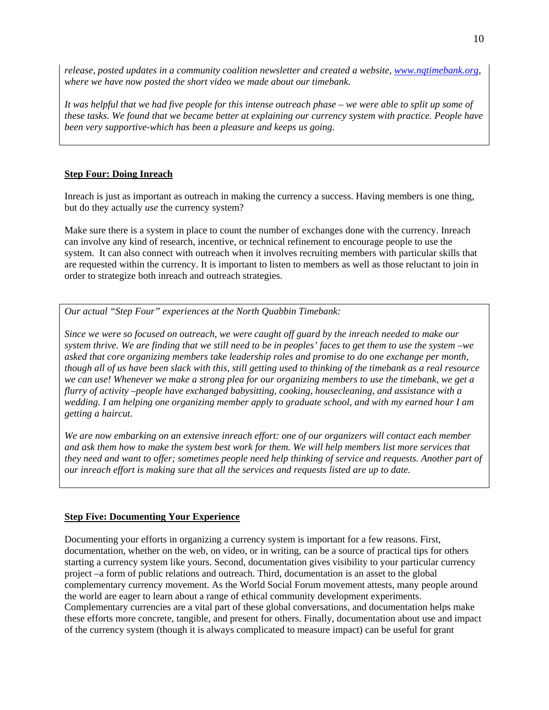*release, posted updates in a community coalition newsletter and created a website, [www.nqtimebank.org,](http://www.nqtimebank.org/) where we have now posted the short video we made about our timebank.* 

*It was helpful that we had five people for this intense outreach phase – we were able to split up some of these tasks. We found that we became better at explaining our currency system with practice. People have been very supportive-which has been a pleasure and keeps us going.* 

# **Step Four: Doing Inreach**

Inreach is just as important as outreach in making the currency a success. Having members is one thing, but do they actually *use* the currency system?

Make sure there is a system in place to count the number of exchanges done with the currency. Inreach can involve any kind of research, incentive, or technical refinement to encourage people to use the system. It can also connect with outreach when it involves recruiting members with particular skills that are requested within the currency. It is important to listen to members as well as those reluctant to join in order to strategize both inreach and outreach strategies.

*Our actual "Step Four" experiences at the North Quabbin Timebank:* 

*Since we were so focused on outreach, we were caught off guard by the inreach needed to make our system thrive. We are finding that we still need to be in peoples' faces to get them to use the system –we asked that core organizing members take leadership roles and promise to do one exchange per month, though all of us have been slack with this, still getting used to thinking of the timebank as a real resource we can use! Whenever we make a strong plea for our organizing members to use the timebank, we get a flurry of activity –people have exchanged babysitting, cooking, housecleaning, and assistance with a wedding. I am helping one organizing member apply to graduate school, and with my earned hour I am getting a haircut.* 

*We are now embarking on an extensive inreach effort: one of our organizers will contact each member and ask them how to make the system best work for them. We will help members list more services that they need and want to offer; sometimes people need help thinking of service and requests. Another part of our inreach effort is making sure that all the services and requests listed are up to date.* 

## **Step Five: Documenting Your Experience**

Documenting your efforts in organizing a currency system is important for a few reasons. First, documentation, whether on the web, on video, or in writing, can be a source of practical tips for others starting a currency system like yours. Second, documentation gives visibility to your particular currency project –a form of public relations and outreach. Third, documentation is an asset to the global complementary currency movement. As the World Social Forum movement attests, many people around the world are eager to learn about a range of ethical community development experiments. Complementary currencies are a vital part of these global conversations, and documentation helps make these efforts more concrete, tangible, and present for others. Finally, documentation about use and impact of the currency system (though it is always complicated to measure impact) can be useful for grant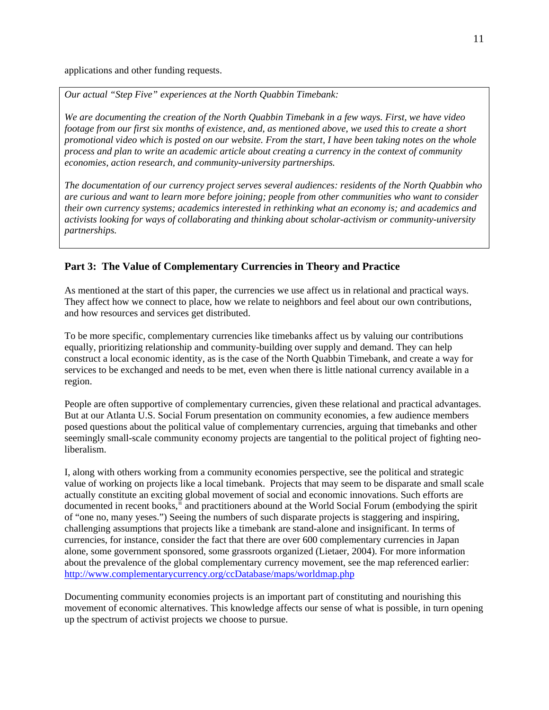applications and other funding requests.

*Our actual "Step Five" experiences at the North Quabbin Timebank:* 

*We are documenting the creation of the North Quabbin Timebank in a few ways. First, we have video footage from our first six months of existence, and, as mentioned above, we used this to create a short promotional video which is posted on our website. From the start, I have been taking notes on the whole process and plan to write an academic article about creating a currency in the context of community economies, action research, and community-university partnerships.* 

*The documentation of our currency project serves several audiences: residents of the North Quabbin who are curious and want to learn more before joining; people from other communities who want to consider their own currency systems; academics interested in rethinking what an economy is; and academics and activists looking for ways of collaborating and thinking about scholar-activism or community-university partnerships.* 

# **Part 3: The Value of Complementary Currencies in Theory and Practice**

As mentioned at the start of this paper, the currencies we use affect us in relational and practical ways. They affect how we connect to place, how we relate to neighbors and feel about our own contributions, and how resources and services get distributed.

To be more specific, complementary currencies like timebanks affect us by valuing our contributions equally, prioritizing relationship and community-building over supply and demand. They can help construct a local economic identity, as is the case of the North Quabbin Timebank, and create a way for services to be exchanged and needs to be met, even when there is little national currency available in a region.

People are often supportive of complementary currencies, given these relational and practical advantages. But at our Atlanta U.S. Social Forum presentation on community economies, a few audience members posed questions about the political value of complementary currencies, arguing that timebanks and other seemingly small-scale community economy projects are tangential to the political project of fighting neoliberalism.

I, along with others working from a community economies perspective, see the political and strategic value of working on projects like a local timebank. Projects that may seem to be disparate and small scale actually constitute an exciting global movement of social and economic innovations. Such efforts are documented in recent books,<sup>[ii](#page-11-1)</sup> and practitioners abound at the World Social Forum (embodying the spirit of "one no, many yeses.") Seeing the numbers of such disparate projects is staggering and inspiring, challenging assumptions that projects like a timebank are stand-alone and insignificant. In terms of currencies, for instance, consider the fact that there are over 600 complementary currencies in Japan alone, some government sponsored, some grassroots organized (Lietaer, 2004). For more information about the prevalence of the global complementary currency movement, see the map referenced earlier: <http://www.complementarycurrency.org/ccDatabase/maps/worldmap.php>

Documenting community economies projects is an important part of constituting and nourishing this movement of economic alternatives. This knowledge affects our sense of what is possible, in turn opening up the spectrum of activist projects we choose to pursue.